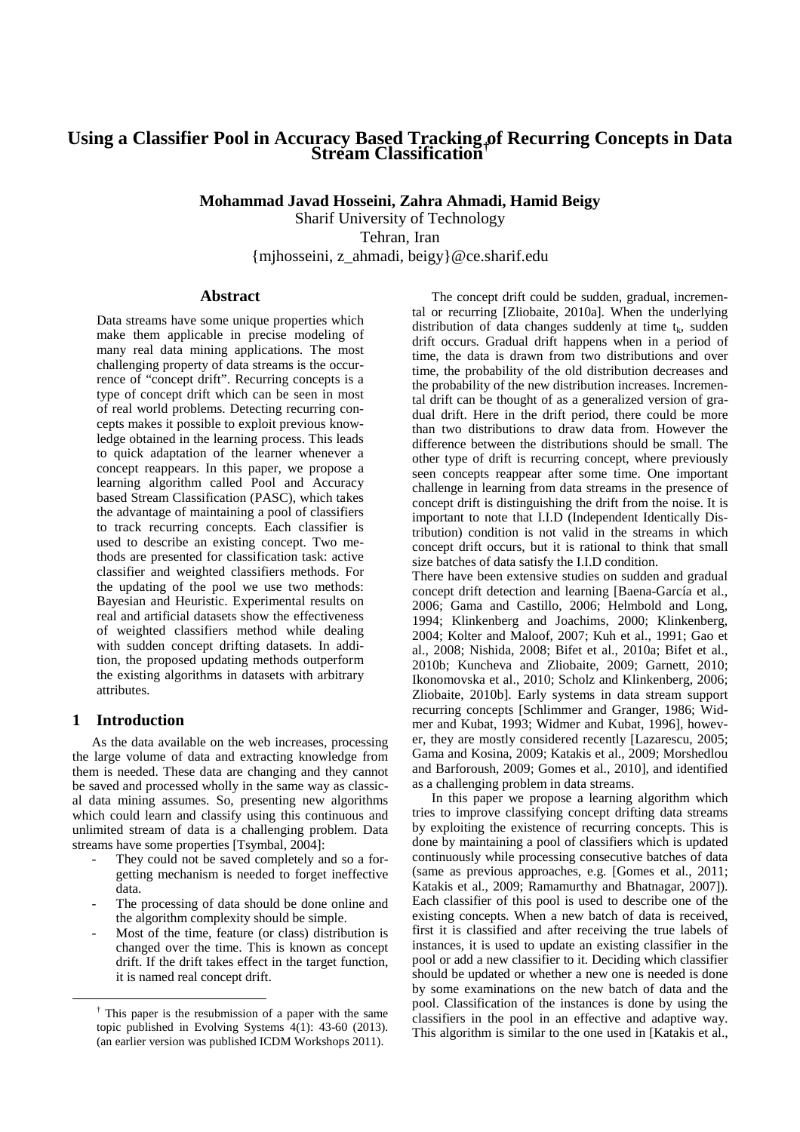# **Using a Classifier Pool in Accuracy Based Tracking of Recurring Concepts in Data Stream Classification†**

**Mohammad Javad Hosseini, Zahra Ahmadi, Hamid Beigy**  Sharif University of Technology Tehran, Iran {mjhosseini, z\_ahmadi, beigy}@ce.sharif.edu

## **Abstract**

Data streams have some unique properties which make them applicable in precise modeling of many real data mining applications. The most challenging property of data streams is the occurrence of "concept drift". Recurring concepts is a type of concept drift which can be seen in most of real world problems. Detecting recurring concepts makes it possible to exploit previous knowledge obtained in the learning process. This leads to quick adaptation of the learner whenever a concept reappears. In this paper, we propose a learning algorithm called Pool and Accuracy based Stream Classification (PASC), which takes the advantage of maintaining a pool of classifiers to track recurring concepts. Each classifier is used to describe an existing concept. Two methods are presented for classification task: active classifier and weighted classifiers methods. For the updating of the pool we use two methods: Bayesian and Heuristic. Experimental results on real and artificial datasets show the effectiveness of weighted classifiers method while dealing with sudden concept drifting datasets. In addition, the proposed updating methods outperform the existing algorithms in datasets with arbitrary attributes.

# **1 Introduction**

 $\overline{a}$ 

As the data available on the web increases, processing the large volume of data and extracting knowledge from them is needed. These data are changing and they cannot be saved and processed wholly in the same way as classical data mining assumes. So, presenting new algorithms which could learn and classify using this continuous and unlimited stream of data is a challenging problem. Data streams have some properties [Tsymbal, 2004]:

- They could not be saved completely and so a forgetting mechanism is needed to forget ineffective data.
- The processing of data should be done online and the algorithm complexity should be simple.
- Most of the time, feature (or class) distribution is changed over the time. This is known as concept drift. If the drift takes effect in the target function, it is named real concept drift.

The concept drift could be sudden, gradual, incremental or recurring [Zliobaite, 2010a]. When the underlying distribution of data changes suddenly at time  $t_k$ , sudden drift occurs. Gradual drift happens when in a period of time, the data is drawn from two distributions and over time, the probability of the old distribution decreases and the probability of the new distribution increases. Incremental drift can be thought of as a generalized version of gradual drift. Here in the drift period, there could be more than two distributions to draw data from. However the difference between the distributions should be small. The other type of drift is recurring concept, where previously seen concepts reappear after some time. One important challenge in learning from data streams in the presence of concept drift is distinguishing the drift from the noise. It is important to note that I.I.D (Independent Identically Distribution) condition is not valid in the streams in which concept drift occurs, but it is rational to think that small size batches of data satisfy the I.I.D condition.

There have been extensive studies on sudden and gradual concept drift detection and learning [Baena-García et al., 2006; Gama and Castillo, 2006; Helmbold and Long, 1994; Klinkenberg and Joachims, 2000; Klinkenberg, 2004; Kolter and Maloof, 2007; Kuh et al., 1991; Gao et al., 2008; Nishida, 2008; Bifet et al., 2010a; Bifet et al., 2010b; Kuncheva and Zliobaite, 2009; Garnett, 2010; Ikonomovska et al., 2010; Scholz and Klinkenberg, 2006; Zliobaite, 2010b]. Early systems in data stream support recurring concepts [Schlimmer and Granger, 1986; Widmer and Kubat, 1993; Widmer and Kubat, 1996], however, they are mostly considered recently [Lazarescu, 2005; Gama and Kosina, 2009; Katakis et al., 2009; Morshedlou and Barforoush, 2009; Gomes et al., 2010], and identified as a challenging problem in data streams.

In this paper we propose a learning algorithm which tries to improve classifying concept drifting data streams by exploiting the existence of recurring concepts. This is done by maintaining a pool of classifiers which is updated continuously while processing consecutive batches of data (same as previous approaches, e.g. [Gomes et al., 2011; Katakis et al., 2009; Ramamurthy and Bhatnagar, 2007]). Each classifier of this pool is used to describe one of the existing concepts. When a new batch of data is received, first it is classified and after receiving the true labels of instances, it is used to update an existing classifier in the pool or add a new classifier to it. Deciding which classifier should be updated or whether a new one is needed is done by some examinations on the new batch of data and the pool. Classification of the instances is done by using the classifiers in the pool in an effective and adaptive way. This algorithm is similar to the one used in [Katakis et al.,

<sup>†</sup> This paper is the resubmission of a paper with the same topic published in Evolving Systems  $4(1)$ : 43-60 (2013). (an earlier version was published ICDM Workshops 2011).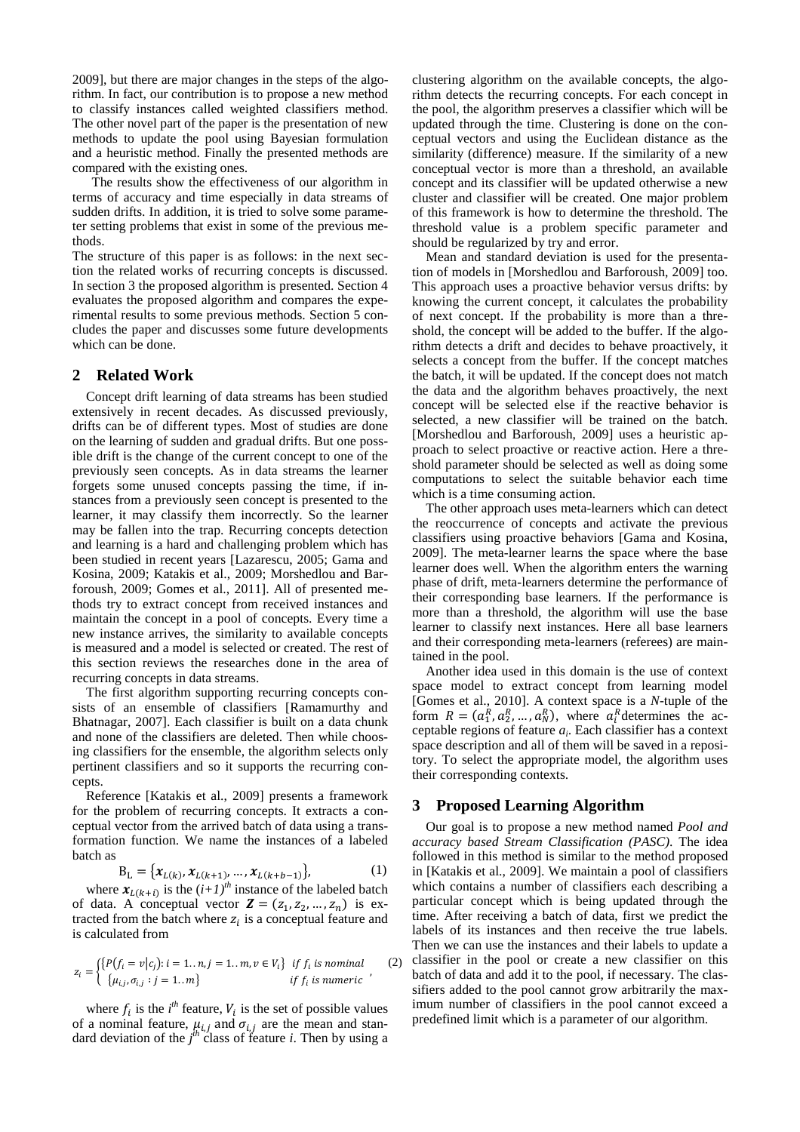2009], but there are major changes in the steps of the algorithm. In fact, our contribution is to propose a new method to classify instances called weighted classifiers method. The other novel part of the paper is the presentation of new methods to update the pool using Bayesian formulation and a heuristic method. Finally the presented methods are compared with the existing ones.

The results show the effectiveness of our algorithm in terms of accuracy and time especially in data streams of sudden drifts. In addition, it is tried to solve some parameter setting problems that exist in some of the previous methods.

The structure of this paper is as follows: in the next section the related works of recurring concepts is discussed. In section 3 the proposed algorithm is presented. Section 4 evaluates the proposed algorithm and compares the experimental results to some previous methods. Section 5 concludes the paper and discusses some future developments which can be done.

# **2 Related Work**

Concept drift learning of data streams has been studied extensively in recent decades. As discussed previously, drifts can be of different types. Most of studies are done on the learning of sudden and gradual drifts. But one possible drift is the change of the current concept to one of the previously seen concepts. As in data streams the learner forgets some unused concepts passing the time, if instances from a previously seen concept is presented to the learner, it may classify them incorrectly. So the learner may be fallen into the trap. Recurring concepts detection and learning is a hard and challenging problem which has been studied in recent years [Lazarescu, 2005; Gama and Kosina, 2009; Katakis et al., 2009; Morshedlou and Barforoush, 2009; Gomes et al., 2011]. All of presented methods try to extract concept from received instances and maintain the concept in a pool of concepts. Every time a new instance arrives, the similarity to available concepts is measured and a model is selected or created. The rest of this section reviews the researches done in the area of recurring concepts in data streams.

The first algorithm supporting recurring concepts consists of an ensemble of classifiers [Ramamurthy and Bhatnagar, 2007]. Each classifier is built on a data chunk and none of the classifiers are deleted. Then while choosing classifiers for the ensemble, the algorithm selects only pertinent classifiers and so it supports the recurring concepts.

Reference [Katakis et al., 2009] presents a framework for the problem of recurring concepts. It extracts a conceptual vector from the arrived batch of data using a transformation function. We name the instances of a labeled batch as

$$
B_{L} = \{x_{L(k)}, x_{L(k+1)}, \dots, x_{L(k+b-1)}\},
$$
 (1)

where  $\mathbf{x}_{L(k+i)}$  is the  $(i+1)^{th}$  instance of the labeled batch of data. A conceptual vector  $\mathbf{Z} = (z_1, z_2, ..., z_n)$  is extracted from the batch where  $z_i$  is a conceptual feature and is calculated from

$$
z_i = \begin{cases} \{P(f_i = v | c_j) : i = 1..n, j = 1..m, v \in V_i\} & \text{if } f_i \text{ is nominal} \\ \{ \mu_{i,i}, \sigma_{i,j} : j = 1..m \} & \text{if } f_i \text{ is numeric} \end{cases} (2)
$$

where  $f_i$  is the *i*<sup>th</sup> feature,  $V_i$  is the set of possible values of a nominal feature,  $\mu_{i,j}$  and  $\sigma_{i,j}$  are the mean and standard deviation of the  $j^{th}$  class of feature *i*. Then by using a clustering algorithm on the available concepts, the algorithm detects the recurring concepts. For each concept in the pool, the algorithm preserves a classifier which will be updated through the time. Clustering is done on the conceptual vectors and using the Euclidean distance as the similarity (difference) measure. If the similarity of a new conceptual vector is more than a threshold, an available concept and its classifier will be updated otherwise a new cluster and classifier will be created. One major problem of this framework is how to determine the threshold. The threshold value is a problem specific parameter and should be regularized by try and error.

Mean and standard deviation is used for the presentation of models in [Morshedlou and Barforoush, 2009] too. This approach uses a proactive behavior versus drifts: by knowing the current concept, it calculates the probability of next concept. If the probability is more than a threshold, the concept will be added to the buffer. If the algorithm detects a drift and decides to behave proactively, it selects a concept from the buffer. If the concept matches the batch, it will be updated. If the concept does not match the data and the algorithm behaves proactively, the next concept will be selected else if the reactive behavior is selected, a new classifier will be trained on the batch. [Morshedlou and Barforoush, 2009] uses a heuristic approach to select proactive or reactive action. Here a threshold parameter should be selected as well as doing some computations to select the suitable behavior each time which is a time consuming action.

The other approach uses meta-learners which can detect the reoccurrence of concepts and activate the previous classifiers using proactive behaviors [Gama and Kosina, 2009]. The meta-learner learns the space where the base learner does well. When the algorithm enters the warning phase of drift, meta-learners determine the performance of their corresponding base learners. If the performance is more than a threshold, the algorithm will use the base learner to classify next instances. Here all base learners and their corresponding meta-learners (referees) are maintained in the pool.

Another idea used in this domain is the use of context space model to extract concept from learning model [Gomes et al., 2010]. A context space is a *N*-tuple of the form  $R = (a_1^R, a_2^R, \dots, a_N^R)$ , where  $a_i^R$  determines the acceptable regions of feature *a<sup>i</sup>* . Each classifier has a context space description and all of them will be saved in a repository. To select the appropriate model, the algorithm uses their corresponding contexts.

# **3 Proposed Learning Algorithm**

Our goal is to propose a new method named *Pool and accuracy based Stream Classification (PASC)*. The idea followed in this method is similar to the method proposed in [Katakis et al., 2009]. We maintain a pool of classifiers which contains a number of classifiers each describing a particular concept which is being updated through the time. After receiving a batch of data, first we predict the labels of its instances and then receive the true labels. Then we can use the instances and their labels to update a classifier in the pool or create a new classifier on this batch of data and add it to the pool, if necessary. The classifiers added to the pool cannot grow arbitrarily the maximum number of classifiers in the pool cannot exceed a predefined limit which is a parameter of our algorithm.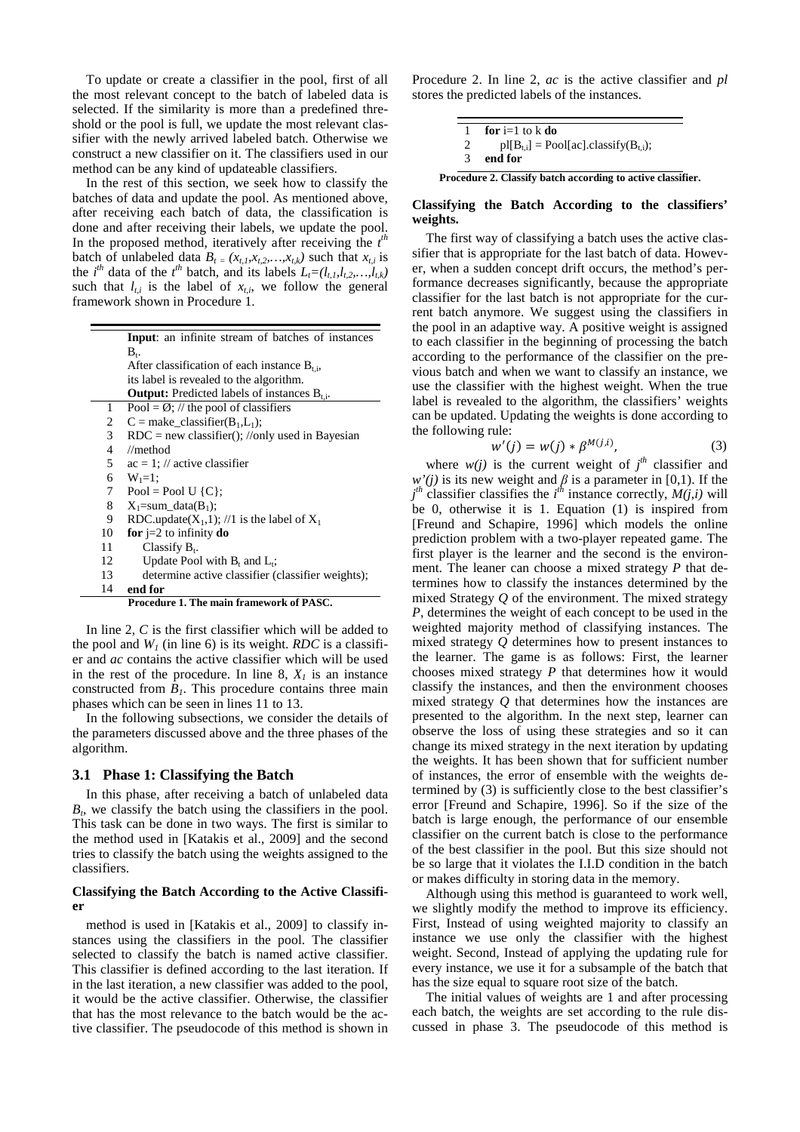To update or create a classifier in the pool, first of all the most relevant concept to the batch of labeled data is selected. If the similarity is more than a predefined threshold or the pool is full, we update the most relevant classifier with the newly arrived labeled batch. Otherwise we construct a new classifier on it. The classifiers used in our method can be any kind of updateable classifiers.

In the rest of this section, we seek how to classify the batches of data and update the pool. As mentioned above, after receiving each batch of data, the classification is done and after receiving their labels, we update the pool. In the proposed method, iteratively after receiving the  $t^{\text{th}}$ batch of unlabeled data  $B_t = (x_{t,t}, x_{t,2},...,x_{t,k})$  such that  $x_{t,i}$  is the *i*<sup>th</sup> data of the *t*<sup>th</sup> batch, and its labels  $L_t = (l_{t,t}, l_{t,2}, \ldots, l_{t,k})$ such that  $l_{t,i}$  is the label of  $x_{t,i}$ , we follow the general framework shown in Procedure 1.

|                | Input: an infinite stream of batches of instances        |  |  |  |  |  |  |
|----------------|----------------------------------------------------------|--|--|--|--|--|--|
|                | $B_{t}$                                                  |  |  |  |  |  |  |
|                | After classification of each instance $B_{t,i}$ ,        |  |  |  |  |  |  |
|                | its label is revealed to the algorithm.                  |  |  |  |  |  |  |
|                | <b>Output:</b> Predicted labels of instances $B_{t,i}$ . |  |  |  |  |  |  |
| 1              | Pool = $\emptyset$ ; // the pool of classifiers          |  |  |  |  |  |  |
| 2              | $C =$ make_classifier(B <sub>1</sub> ,L <sub>1</sub> );  |  |  |  |  |  |  |
| 3 <sup>1</sup> | $RDC = new classifier(); // only used in Bayesian$       |  |  |  |  |  |  |
| 4              | $\mathcal{N}$ method                                     |  |  |  |  |  |  |
| 5              | $ac = 1$ ; // active classifier                          |  |  |  |  |  |  |
| 6              | $W_1 = 1$ :                                              |  |  |  |  |  |  |
| 7              | Pool = Pool U { $C$ };                                   |  |  |  |  |  |  |
| 8              | $X_1 = sum \text{ data}(B_1);$                           |  |  |  |  |  |  |
| 9              | RDC.update( $X_1$ ,1); //1 is the label of $X_1$         |  |  |  |  |  |  |
| 10             | for $i=2$ to infinity do                                 |  |  |  |  |  |  |
| 11             | Classify $B_t$ .                                         |  |  |  |  |  |  |
| 12             | Update Pool with $B_t$ and $L_t$ ;                       |  |  |  |  |  |  |
| 13             | determine active classifier (classifier weights);        |  |  |  |  |  |  |
| 14             | end for                                                  |  |  |  |  |  |  |
|                | Procedure 1. The main framework of PASC.                 |  |  |  |  |  |  |

In line 2, *C* is the first classifier which will be added to the pool and  $W_I$  (in line 6) is its weight. *RDC* is a classifier and *ac* contains the active classifier which will be used in the rest of the procedure. In line 8,  $X<sub>l</sub>$  is an instance constructed from  $B<sub>1</sub>$ . This procedure contains three main phases which can be seen in lines 11 to 13.

In the following subsections, we consider the details of the parameters discussed above and the three phases of the algorithm.

#### **3.1 Phase 1: Classifying the Batch**

In this phase, after receiving a batch of unlabeled data *Bt* , we classify the batch using the classifiers in the pool. This task can be done in two ways. The first is similar to the method used in [Katakis et al., 2009] and the second tries to classify the batch using the weights assigned to the classifiers.

## **Classifying the Batch According to the Active Classifier**

method is used in [Katakis et al., 2009] to classify instances using the classifiers in the pool. The classifier selected to classify the batch is named active classifier. This classifier is defined according to the last iteration. If in the last iteration, a new classifier was added to the pool, it would be the active classifier. Otherwise, the classifier that has the most relevance to the batch would be the active classifier. The pseudocode of this method is shown in

Procedure 2. In line 2, *ac* is the active classifier and *pl* stores the predicted labels of the instances.

| for $i=1$ to k do                           |
|---------------------------------------------|
| $pI[B_{t,i}] = Pool[ac].classify(B_{t,i});$ |
| end for                                     |

**Procedure 2. Classify batch according to active classifier.** 

### **Classifying the Batch According to the classifiers' weights.**

The first way of classifying a batch uses the active classifier that is appropriate for the last batch of data. However, when a sudden concept drift occurs, the method's performance decreases significantly, because the appropriate classifier for the last batch is not appropriate for the current batch anymore. We suggest using the classifiers in the pool in an adaptive way. A positive weight is assigned to each classifier in the beginning of processing the batch according to the performance of the classifier on the previous batch and when we want to classify an instance, we use the classifier with the highest weight. When the true label is revealed to the algorithm, the classifiers' weights can be updated. Updating the weights is done according to the following rule:

$$
w'(j) = w(j) * \beta^{M(j,i)}, \tag{3}
$$

where  $w(j)$  is the current weight of  $j<sup>th</sup>$  classifier and  $w'(j)$  is its new weight and  $\beta$  is a parameter in [0,1). If the  $j<sup>th</sup>$  classifier classifies the *i*<sup>th</sup> instance correctly, *M(j,i)* will be 0, otherwise it is 1. Equation (1) is inspired from [Freund and Schapire, 1996] which models the online prediction problem with a two-player repeated game. The first player is the learner and the second is the environment. The leaner can choose a mixed strategy *P* that determines how to classify the instances determined by the mixed Strategy *Q* of the environment. The mixed strategy *P*, determines the weight of each concept to be used in the weighted majority method of classifying instances. The mixed strategy *Q* determines how to present instances to the learner. The game is as follows: First, the learner chooses mixed strategy *P* that determines how it would classify the instances, and then the environment chooses mixed strategy *Q* that determines how the instances are presented to the algorithm. In the next step, learner can observe the loss of using these strategies and so it can change its mixed strategy in the next iteration by updating the weights. It has been shown that for sufficient number of instances, the error of ensemble with the weights determined by (3) is sufficiently close to the best classifier's error [Freund and Schapire, 1996]. So if the size of the batch is large enough, the performance of our ensemble classifier on the current batch is close to the performance of the best classifier in the pool. But this size should not be so large that it violates the I.I.D condition in the batch or makes difficulty in storing data in the memory.

Although using this method is guaranteed to work well, we slightly modify the method to improve its efficiency. First, Instead of using weighted majority to classify an instance we use only the classifier with the highest weight. Second, Instead of applying the updating rule for every instance, we use it for a subsample of the batch that has the size equal to square root size of the batch.

The initial values of weights are 1 and after processing each batch, the weights are set according to the rule discussed in phase 3. The pseudocode of this method is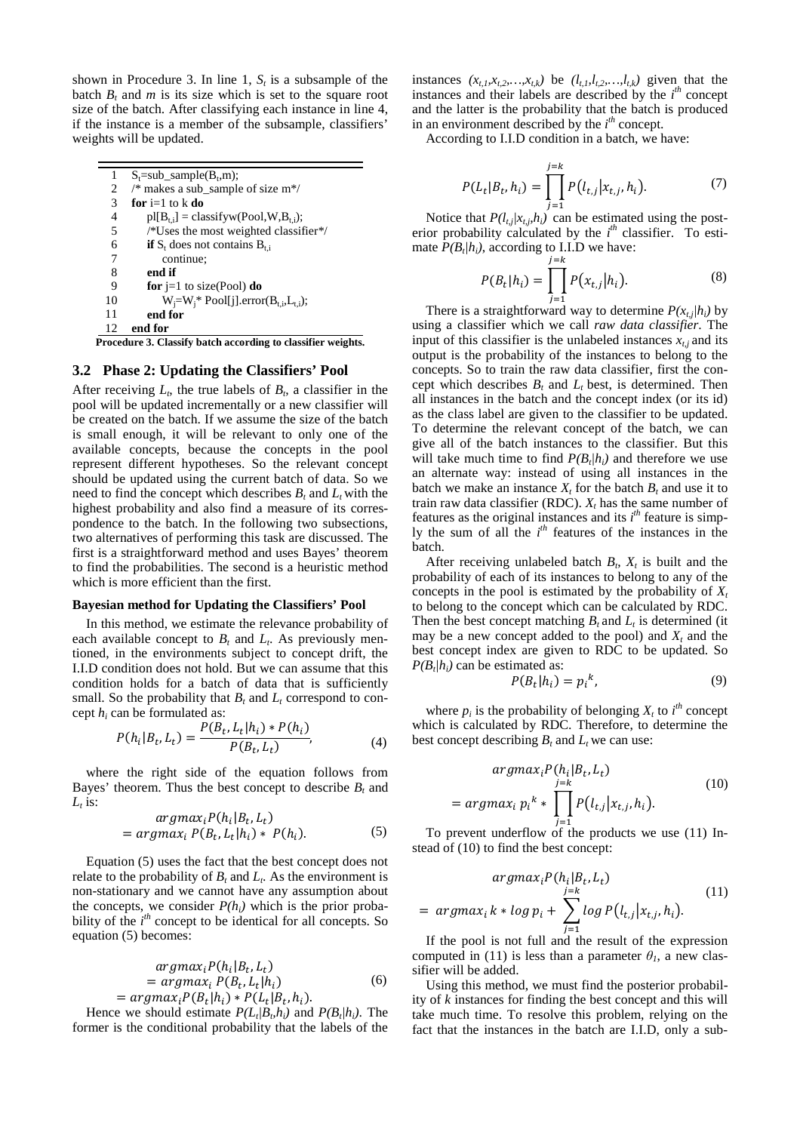shown in Procedure 3. In line 1,  $S_t$  is a subsample of the batch  $B_t$  and  $m$  is its size which is set to the square root size of the batch. After classifying each instance in line 4, if the instance is a member of the subsample, classifiers' weights will be updated.

| 1  | $S_t = sub\_sample(B_t, m);$                          |
|----|-------------------------------------------------------|
| 2  | /* makes a sub_sample of size $m*/$                   |
| 3  | for $i=1$ to k do                                     |
| 4  | $pI[B_{t,i}] = classifyw(Pool, W, B_{t,i});$          |
| 5  | $\sqrt{\text{*}$ Uses the most weighted classifier */ |
| 6  | <b>if</b> $S_t$ does not contains $B_{t,i}$           |
| 7  | continue;                                             |
| 8  | end if                                                |
| 9  | for $i=1$ to size(Pool) do                            |
| 10 | $W_i = W_i^* \text{Pool}[j].error(B_{t,i},L_{t,i});$  |
| 11 | end for                                               |
| 12 | end for                                               |

**Procedure 3. Classify batch according to classifier weights.** 

### **3.2 Phase 2: Updating the Classifiers' Pool**

After receiving  $L_t$ , the true labels of  $B_t$ , a classifier in the pool will be updated incrementally or a new classifier will be created on the batch. If we assume the size of the batch is small enough, it will be relevant to only one of the available concepts, because the concepts in the pool represent different hypotheses. So the relevant concept should be updated using the current batch of data. So we need to find the concept which describes  $B_t$  and  $L_t$  with the highest probability and also find a measure of its correspondence to the batch. In the following two subsections, two alternatives of performing this task are discussed. The first is a straightforward method and uses Bayes' theorem to find the probabilities. The second is a heuristic method which is more efficient than the first.

#### **Bayesian method for Updating the Classifiers' Pool**

In this method, we estimate the relevance probability of each available concept to  $B_t$  and  $L_t$ . As previously mentioned, in the environments subject to concept drift, the I.I.D condition does not hold. But we can assume that this condition holds for a batch of data that is sufficiently small. So the probability that  $B_t$  and  $L_t$  correspond to concept  $h_i$  can be formulated as:

$$
P(h_i|B_t, L_t) = \frac{P(B_t, L_t|h_i) * P(h_i)}{P(B_t, L_t)},
$$
\n(4)

where the right side of the equation follows from Bayes' theorem. Thus the best concept to describe  $B_t$  and  $L_t$  is:

$$
argmax_{i} P(h_i|B_t, L_t)
$$
  
= 
$$
argmax_{i} P(B_t, L_t|h_i) * P(h_i).
$$
 (5)

Equation (5) uses the fact that the best concept does not relate to the probability of  $B_t$  and  $L_t$ . As the environment is non-stationary and we cannot have any assumption about the concepts, we consider  $P(h_i)$  which is the prior probability of the  $i<sup>th</sup>$  concept to be identical for all concepts. So equation (5) becomes:

$$
argmax_{i} P(h_{i}|B_{t}, L_{t})
$$
  
= 
$$
argmax_{i} P(B_{t}, L_{t}|h_{i})
$$
  
= 
$$
argmax_{i} P(B_{t}|h_{i}) * P(L_{t}|B_{t}, h_{i}).
$$
 (6)

Hence we should estimate  $P(L_t|B_b h_i)$  and  $P(B_t|h_i)$ . The former is the conditional probability that the labels of the

instances  $(x_{t,1},x_{t,2},...,x_{t,k})$  be  $(l_{t,1},l_{t,2},...,l_{t,k})$  given that the instances and their labels are described by the  $i<sup>th</sup>$  concept and the latter is the probability that the batch is produced in an environment described by the  $i<sup>th</sup>$  concept.

According to I.I.D condition in a batch, we have:

$$
P(L_t|B_t, h_i) = \prod_{j=1}^{j=k} P(l_{t,j}|x_{t,j}, h_i).
$$
 (7)

Notice that  $P(l_t|X_t,h_t)$  can be estimated using the posterior probability calculated by the  $i^{th}$  classifier. To estimate  $P(B_t/h_i)$ , according to I.I.D we have:

$$
P(B_t|h_i) = \prod_{j=1}^{j=k} P(x_{t,j}|h_i).
$$
 (8)

There is a straightforward way to determine  $P(x_{t,j}/h_i)$  by using a classifier which we call *raw data classifier*. The input of this classifier is the unlabeled instances  $x_{t,i}$  and its output is the probability of the instances to belong to the concepts. So to train the raw data classifier, first the concept which describes  $B_t$  and  $L_t$  best, is determined. Then all instances in the batch and the concept index (or its id) as the class label are given to the classifier to be updated. To determine the relevant concept of the batch, we can give all of the batch instances to the classifier. But this will take much time to find  $P(B_t/h_i)$  and therefore we use an alternate way: instead of using all instances in the batch we make an instance  $X_t$  for the batch  $B_t$  and use it to train raw data classifier (RDC).  $X_t$  has the same number of features as the original instances and its  $i<sup>th</sup>$  feature is simply the sum of all the *i*<sup>th</sup> features of the instances in the batch.

After receiving unlabeled batch  $B_t$ ,  $X_t$  is built and the probability of each of its instances to belong to any of the concepts in the pool is estimated by the probability of  $X_t$ to belong to the concept which can be calculated by RDC. Then the best concept matching  $B_t$  and  $L_t$  is determined (it may be a new concept added to the pool) and *X<sup>t</sup>* and the best concept index are given to RDC to be updated. So  $P(B_t | h_i)$  can be estimated as: A<sup>B</sup>

$$
P(B_t|h_i) = p_i^k, \tag{9}
$$

where  $p_i$  is the probability of belonging  $X_t$  to  $i^{\text{th}}$  concept which is calculated by RDC. Therefore, to determine the best concept describing  $B_t$  and  $L_t$  we can use:

$$
argmax_{i} P(h_i|B_t, L_t)
$$
  
= 
$$
argmax_{i} p_i^{k} * \prod_{j=1}^{j=k} P(l_{t,j}|x_{t,j}, h_i).
$$
 (10)

To prevent underflow of the products we use (11) Instead of (10) to find the best concept:

$$
argmax_{i} P(h_{i}|B_{t}, L_{t})
$$
  
= 
$$
argmax_{i} k * log p_{i} + \sum_{j=1}^{j=k} log P(l_{t,j}|x_{t,j}, h_{i}).
$$
 (11)

If the pool is not full and the result of the expression computed in (11) is less than a parameter  $\theta$ <sup>*I*</sup>, a new classifier will be added.

Using this method, we must find the posterior probability of *k* instances for finding the best concept and this will take much time. To resolve this problem, relying on the fact that the instances in the batch are I.I.D, only a sub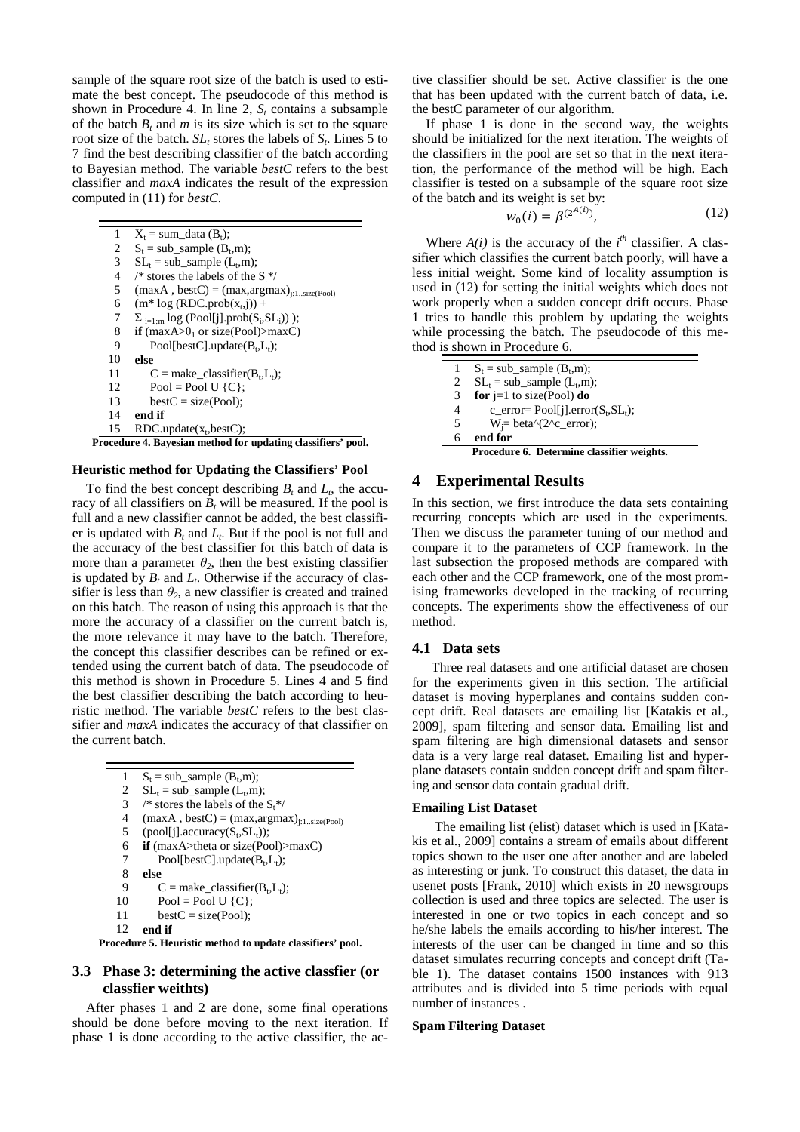sample of the square root size of the batch is used to estimate the best concept. The pseudocode of this method is shown in Procedure 4. In line 2,  $S_t$  contains a subsample of the batch  $B_t$  and  $m$  is its size which is set to the square root size of the batch.  $SL<sub>t</sub>$  stores the labels of  $S<sub>t</sub>$ . Lines 5 to 7 find the best describing classifier of the batch according to Bayesian method. The variable *bestC* refers to the best classifier and *maxA* indicates the result of the expression computed in (11) for *bestC*.

 $X_t = sum\_data (B_t);$  $S_t = sub\_sample (B_t, m);$  $SL_t = sub\_sample (L_t, m);$ /\* stores the labels of the  $S_t$ \*/  $(maxA, bestC) = (max, argmax)_{j:1..size(Pool)}$  $(m^* log (RDC.pop(x_t, j)) +$  $\Sigma$ <sub>i=1:m</sub> log (Pool[j].prob(S<sub>i</sub>,SL<sub>i</sub>))); **if**  $(maxA > \theta_1$  or size(Pool)>maxC)  $Pool[bestC].update(B_t, L_t);$ **else**   $C = make\_classification(B_t, L_t);$  $Pool = Pool U (C);$  $bestC = size(Pool);$ **end if**   $RDC.update(x_t, bestC);$ 1  $\mathcal{D}$ 3 4 5 6 7 8 **9** 10 11 12 13 14 15

**Procedure 4. Bayesian method for updating classifiers' pool.** 

#### **Heuristic method for Updating the Classifiers' Pool**

To find the best concept describing  $B_t$  and  $L_t$ , the accuracy of all classifiers on  $B_t$  will be measured. If the pool is full and a new classifier cannot be added, the best classifier is updated with  $B_t$  and  $L_t$ . But if the pool is not full and the accuracy of the best classifier for this batch of data is more than a parameter  $\theta_2$ , then the best existing classifier is updated by  $B_t$  and  $L_t$ . Otherwise if the accuracy of classifier is less than  $\theta_2$ , a new classifier is created and trained on this batch. The reason of using this approach is that the more the accuracy of a classifier on the current batch is, the more relevance it may have to the batch. Therefore, the concept this classifier describes can be refined or extended using the current batch of data. The pseudocode of this method is shown in Procedure 5. Lines 4 and 5 find the best classifier describing the batch according to heuristic method. The variable *bestC* refers to the best classifier and *maxA* indicates the accuracy of that classifier on the current batch.

| 1  | $S_t = sub$ sample $(B_t, m)$ ;                     |
|----|-----------------------------------------------------|
| 2  | $SL_t = sub$ sample $(L_t, m)$ ;                    |
| 3  | /* stores the labels of the $St$ */                 |
| 4  | $(max A, best C) = (max, argmax)_{i:1.size (Pool)}$ |
| 5  | $(pool[i].accuracy(S_t, SL_t));$                    |
| 6  | if $(maxA>theta or size(Pool)>maxC)$                |
| 7  | Pool[bestC].update( $B_t$ , $L_t$ );                |
| 8  | else                                                |
| 9  | $C =$ make_classifier( $B_t$ , $L_t$ );             |
| 10 | $Pool = Pool U (C);$                                |
| 11 | $bestC = size(Pool);$                               |
| 12 | end if                                              |

**Procedure 5. Heuristic method to update classifiers' pool.** 

# **3.3 Phase 3: determining the active classfier (or classfier weithts)**

After phases 1 and 2 are done, some final operations should be done before moving to the next iteration. If phase 1 is done according to the active classifier, the active classifier should be set. Active classifier is the one that has been updated with the current batch of data, i.e. the bestC parameter of our algorithm.

If phase 1 is done in the second way, the weights should be initialized for the next iteration. The weights of the classifiers in the pool are set so that in the next iteration, the performance of the method will be high. Each classifier is tested on a subsample of the square root size of the batch and its weight is set by:

$$
w_0(i) = \beta^{(2^{A(i)})},\tag{12}
$$

Where  $A(i)$  is the accuracy of the  $i<sup>th</sup>$  classifier. A classifier which classifies the current batch poorly, will have a less initial weight. Some kind of locality assumption is used in (12) for setting the initial weights which does not work properly when a sudden concept drift occurs. Phase 1 tries to handle this problem by updating the weights while processing the batch. The pseudocode of this method is shown in Procedure 6.

|   | $S_t = sub$ sample $(B_t, m)$ ;                                                                                                                                                                                                                                                                                                                                                                                                                    |
|---|----------------------------------------------------------------------------------------------------------------------------------------------------------------------------------------------------------------------------------------------------------------------------------------------------------------------------------------------------------------------------------------------------------------------------------------------------|
| 2 | $SL_t = sub\_sample (L_t, m);$                                                                                                                                                                                                                                                                                                                                                                                                                     |
| 3 | for $i=1$ to size(Pool) do                                                                                                                                                                                                                                                                                                                                                                                                                         |
| 4 | c_error= $Pool[i].error(S_t, SL_t);$                                                                                                                                                                                                                                                                                                                                                                                                               |
| 5 | $W_i = \text{beta} \setminus (2 \text{ }^{\circ}C_{\text{ }c\text{ }}^{\circ}C_{\text{ }i\text{ }}^{\circ}C_{\text{ }i\text{ }}^{\circ}C_{\text{ }i\text{ }}^{\circ}C_{\text{ }i\text{ }}^{\circ}C_{\text{ }i\text{ }}^{\circ}C_{\text{ }i\text{ }}^{\circ}C_{\text{ }i\text{ }}^{\circ}C_{\text{ }i\text{ }}^{\circ}C_{\text{ }i\text{ }}^{\circ}C_{\text{ }i\text{ }}^{\circ}C_{\text{ }i\text{ }}^{\circ}C_{\text{ }i\text{ }}^{\circ}C_{\text$ |
| 6 | end for                                                                                                                                                                                                                                                                                                                                                                                                                                            |
|   | Procedure 6. Determine classifier weights.                                                                                                                                                                                                                                                                                                                                                                                                         |

## **4 Experimental Results**

In this section, we first introduce the data sets containing recurring concepts which are used in the experiments. Then we discuss the parameter tuning of our method and compare it to the parameters of CCP framework. In the last subsection the proposed methods are compared with each other and the CCP framework, one of the most promising frameworks developed in the tracking of recurring concepts. The experiments show the effectiveness of our method.

### **4.1 Data sets**

Three real datasets and one artificial dataset are chosen for the experiments given in this section. The artificial dataset is moving hyperplanes and contains sudden concept drift. Real datasets are emailing list [Katakis et al., 2009], spam filtering and sensor data. Emailing list and spam filtering are high dimensional datasets and sensor data is a very large real dataset. Emailing list and hyperplane datasets contain sudden concept drift and spam filtering and sensor data contain gradual drift.

### **Emailing List Dataset**

 The emailing list (elist) dataset which is used in [Katakis et al., 2009] contains a stream of emails about different topics shown to the user one after another and are labeled as interesting or junk. To construct this dataset, the data in usenet posts [Frank, 2010] which exists in 20 newsgroups collection is used and three topics are selected. The user is interested in one or two topics in each concept and so he/she labels the emails according to his/her interest. The interests of the user can be changed in time and so this dataset simulates recurring concepts and concept drift (Table 1). The dataset contains 1500 instances with 913 attributes and is divided into 5 time periods with equal number of instances .

## **Spam Filtering Dataset**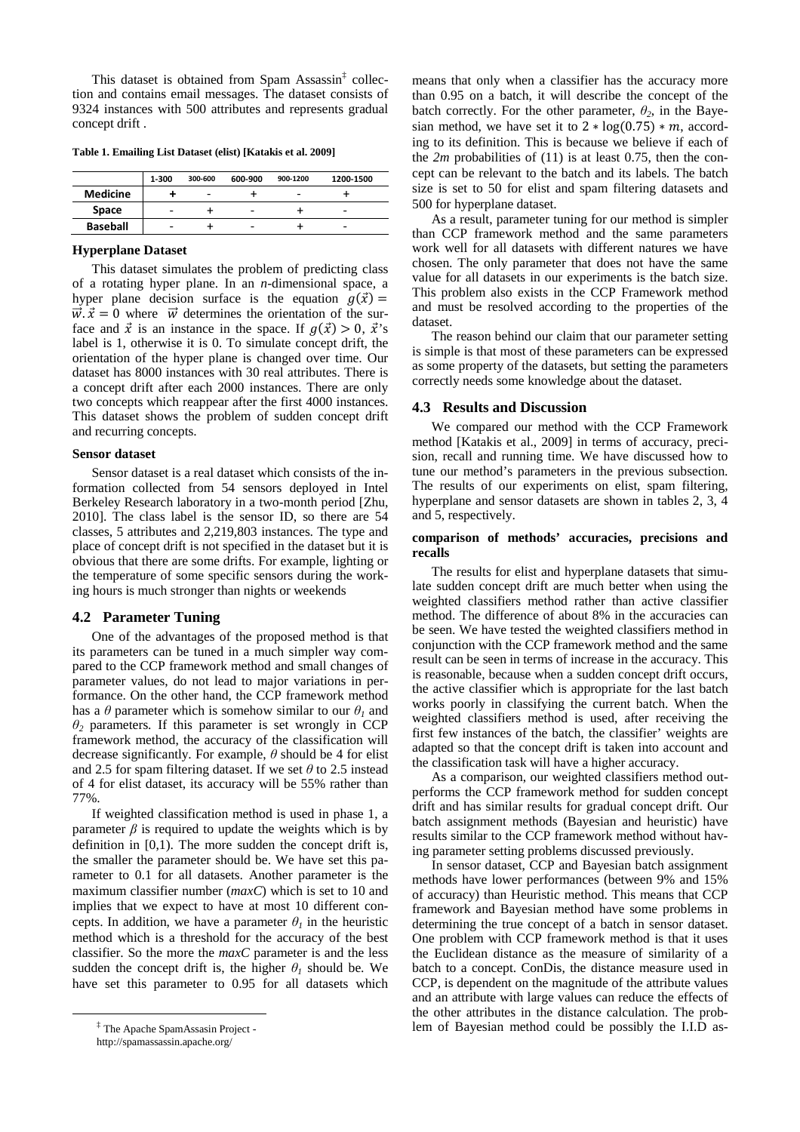This dataset is obtained from Spam Assassin<sup>‡</sup> collection and contains email messages. The dataset consists of 9324 instances with 500 attributes and represents gradual concept drift .

**Table 1. Emailing List Dataset (elist) [Katakis et al. 2009]** 

|                 | 1-300 | 300-600 | 600-900 | 900-1200 | 1200-1500 |
|-----------------|-------|---------|---------|----------|-----------|
| <b>Medicine</b> |       |         |         |          |           |
| Space           | -     |         | -       |          | -         |
| <b>Baseball</b> | -     |         |         |          | -         |

#### **Hyperplane Dataset**

This dataset simulates the problem of predicting class of a rotating hyper plane. In an *n*-dimensional space, a hyper plane decision surface is the equation  $g(\vec{x}) =$  $\vec{w} \cdot \vec{x} = 0$  where  $\vec{w}$  determines the orientation of the surface and  $\vec{x}$  is an instance in the space. If  $q(\vec{x}) > 0$ ,  $\vec{x}$ 's label is 1, otherwise it is 0. To simulate concept drift, the orientation of the hyper plane is changed over time. Our dataset has 8000 instances with 30 real attributes. There is a concept drift after each 2000 instances. There are only two concepts which reappear after the first 4000 instances. This dataset shows the problem of sudden concept drift and recurring concepts.

#### **Sensor dataset**

Sensor dataset is a real dataset which consists of the information collected from 54 sensors deployed in Intel Berkeley Research laboratory in a two-month period [Zhu, 2010]. The class label is the sensor ID, so there are 54 classes, 5 attributes and 2,219,803 instances. The type and place of concept drift is not specified in the dataset but it is obvious that there are some drifts. For example, lighting or the temperature of some specific sensors during the working hours is much stronger than nights or weekends

### **4.2 Parameter Tuning**

One of the advantages of the proposed method is that its parameters can be tuned in a much simpler way compared to the CCP framework method and small changes of parameter values, do not lead to major variations in performance. On the other hand, the CCP framework method has a  $\theta$  parameter which is somehow similar to our  $\theta$ <sup>*I*</sup> and *θ2* parameters. If this parameter is set wrongly in CCP framework method, the accuracy of the classification will decrease significantly. For example, *θ* should be 4 for elist and 2.5 for spam filtering dataset. If we set *θ* to 2.5 instead of 4 for elist dataset, its accuracy will be 55% rather than 77%.

If weighted classification method is used in phase 1, a parameter  $\beta$  is required to update the weights which is by definition in  $[0,1)$ . The more sudden the concept drift is, the smaller the parameter should be. We have set this parameter to 0.1 for all datasets. Another parameter is the maximum classifier number (*maxC*) which is set to 10 and implies that we expect to have at most 10 different concepts. In addition, we have a parameter  $\theta_l$  in the heuristic method which is a threshold for the accuracy of the best classifier. So the more the *maxC* parameter is and the less sudden the concept drift is, the higher  $\theta$ <sup>*I*</sup> should be. We have set this parameter to 0.95 for all datasets which

 $\overline{a}$ 

means that only when a classifier has the accuracy more than 0.95 on a batch, it will describe the concept of the batch correctly. For the other parameter,  $\theta_2$ , in the Bayesian method, we have set it to  $2 * log(0.75) * m$ , according to its definition. This is because we believe if each of the  $2m$  probabilities of (11) is at least 0.75, then the concept can be relevant to the batch and its labels. The batch size is set to 50 for elist and spam filtering datasets and 500 for hyperplane dataset.

As a result, parameter tuning for our method is simpler than CCP framework method and the same parameters work well for all datasets with different natures we have chosen. The only parameter that does not have the same value for all datasets in our experiments is the batch size. This problem also exists in the CCP Framework method and must be resolved according to the properties of the dataset.

The reason behind our claim that our parameter setting is simple is that most of these parameters can be expressed as some property of the datasets, but setting the parameters correctly needs some knowledge about the dataset.

#### **4.3 Results and Discussion**

We compared our method with the CCP Framework method [Katakis et al., 2009] in terms of accuracy, precision, recall and running time. We have discussed how to tune our method's parameters in the previous subsection. The results of our experiments on elist, spam filtering, hyperplane and sensor datasets are shown in tables 2, 3, 4 and 5, respectively.

## **comparison of methods' accuracies, precisions and recalls**

The results for elist and hyperplane datasets that simulate sudden concept drift are much better when using the weighted classifiers method rather than active classifier method. The difference of about 8% in the accuracies can be seen. We have tested the weighted classifiers method in conjunction with the CCP framework method and the same result can be seen in terms of increase in the accuracy. This is reasonable, because when a sudden concept drift occurs, the active classifier which is appropriate for the last batch works poorly in classifying the current batch. When the weighted classifiers method is used, after receiving the first few instances of the batch, the classifier' weights are adapted so that the concept drift is taken into account and the classification task will have a higher accuracy.

As a comparison, our weighted classifiers method outperforms the CCP framework method for sudden concept drift and has similar results for gradual concept drift. Our batch assignment methods (Bayesian and heuristic) have results similar to the CCP framework method without having parameter setting problems discussed previously.

In sensor dataset, CCP and Bayesian batch assignment methods have lower performances (between 9% and 15% of accuracy) than Heuristic method. This means that CCP framework and Bayesian method have some problems in determining the true concept of a batch in sensor dataset. One problem with CCP framework method is that it uses the Euclidean distance as the measure of similarity of a batch to a concept. ConDis, the distance measure used in CCP, is dependent on the magnitude of the attribute values and an attribute with large values can reduce the effects of the other attributes in the distance calculation. The problem of Bayesian method could be possibly the I.I.D as-

<sup>‡</sup> The Apache SpamAssasin Project -

http://spamassassin.apache.org/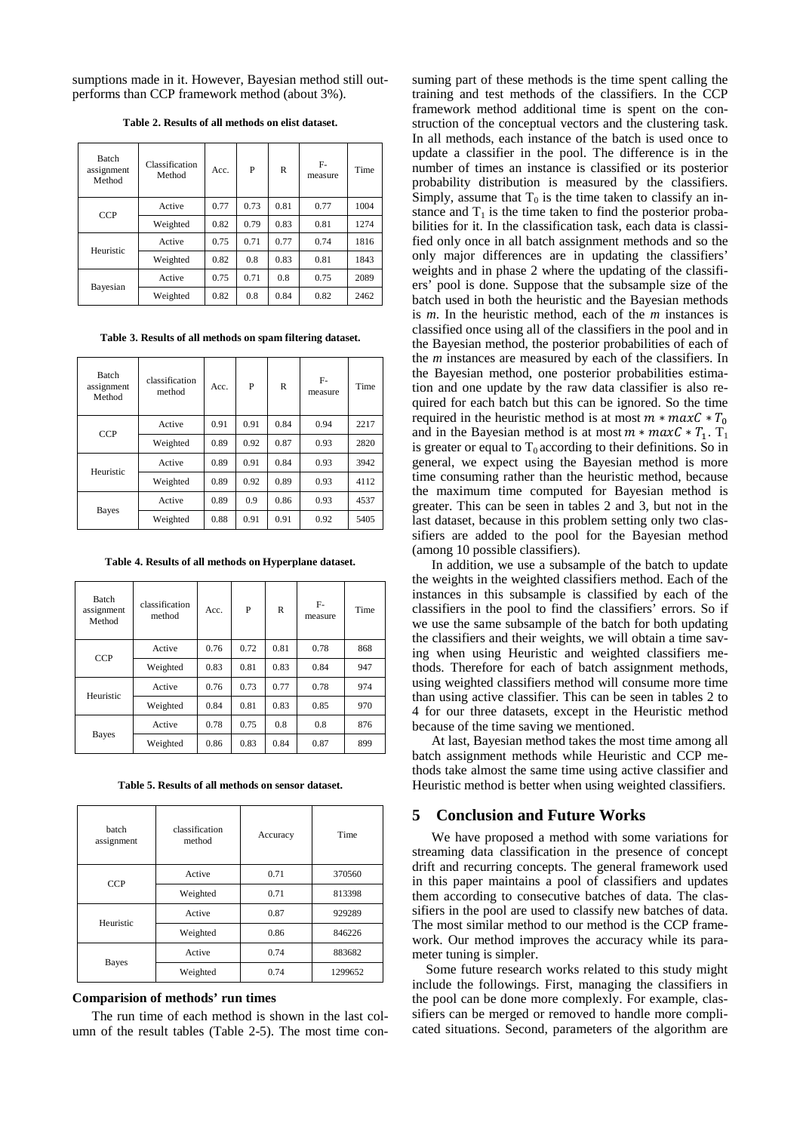sumptions made in it. However, Bayesian method still outperforms than CCP framework method (about 3%).

|--|

| <b>Batch</b><br>assignment<br>Method | Classification<br>Method | Acc. | P    | R    | F-<br>measure | Time |
|--------------------------------------|--------------------------|------|------|------|---------------|------|
| <b>CCP</b>                           | Active                   | 0.77 | 0.73 | 0.81 | 0.77          | 1004 |
|                                      | Weighted                 | 0.82 | 0.79 | 0.83 | 0.81          | 1274 |
| Heuristic                            | Active                   | 0.75 | 0.71 | 0.77 | 0.74          | 1816 |
|                                      | Weighted                 | 0.82 | 0.8  | 0.83 | 0.81          | 1843 |
|                                      | Active                   | 0.75 | 0.71 | 0.8  | 0.75          | 2089 |
| Bayesian                             | Weighted                 | 0.82 | 0.8  | 0.84 | 0.82          | 2462 |

**Table 3. Results of all methods on spam filtering dataset.** 

| <b>Batch</b><br>assignment<br>Method | classification<br>method | Acc. | P    | R    | F-<br>measure | Time |
|--------------------------------------|--------------------------|------|------|------|---------------|------|
| <b>CCP</b>                           | Active                   | 0.91 | 0.91 | 0.84 | 0.94          | 2217 |
|                                      | Weighted                 | 0.89 | 0.92 | 0.87 | 0.93          | 2820 |
| Heuristic                            | Active                   | 0.89 | 0.91 | 0.84 | 0.93          | 3942 |
|                                      | Weighted                 | 0.89 | 0.92 | 0.89 | 0.93          | 4112 |
|                                      | Active                   | 0.89 | 0.9  | 0.86 | 0.93          | 4537 |
| Bayes                                | Weighted                 | 0.88 | 0.91 | 0.91 | 0.92          | 5405 |

**Table 4. Results of all methods on Hyperplane dataset.** 

| <b>Batch</b><br>assignment<br>Method | classification<br>method | Acc. | P    | R    | F-<br>measure | Time |
|--------------------------------------|--------------------------|------|------|------|---------------|------|
| <b>CCP</b>                           | Active                   | 0.76 | 0.72 | 0.81 | 0.78          | 868  |
|                                      | Weighted                 | 0.83 | 0.81 | 0.83 | 0.84          | 947  |
| Heuristic                            | Active                   | 0.76 | 0.73 | 0.77 | 0.78          | 974  |
|                                      | Weighted                 | 0.84 | 0.81 | 0.83 | 0.85          | 970  |
|                                      | Active                   | 0.78 | 0.75 | 0.8  | 0.8           | 876  |
| Bayes                                | Weighted                 | 0.86 | 0.83 | 0.84 | 0.87          | 899  |

**Table 5. Results of all methods on sensor dataset.** 

| <b>batch</b><br>assignment | classification<br>Accuracy<br>method |      | Time    |  |
|----------------------------|--------------------------------------|------|---------|--|
| <b>CCP</b>                 | Active                               | 0.71 | 370560  |  |
|                            | Weighted                             | 0.71 | 813398  |  |
| Heuristic                  | Active                               | 0.87 | 929289  |  |
|                            | Weighted                             | 0.86 | 846226  |  |
|                            | Active                               | 0.74 | 883682  |  |
| <b>Bayes</b>               | Weighted                             | 0.74 | 1299652 |  |

## **Comparision of methods' run times**

The run time of each method is shown in the last column of the result tables (Table 2-5). The most time consuming part of these methods is the time spent calling the training and test methods of the classifiers. In the CCP framework method additional time is spent on the construction of the conceptual vectors and the clustering task. In all methods, each instance of the batch is used once to update a classifier in the pool. The difference is in the number of times an instance is classified or its posterior probability distribution is measured by the classifiers. Simply, assume that  $T_0$  is the time taken to classify an instance and  $T_1$  is the time taken to find the posterior probabilities for it. In the classification task, each data is classified only once in all batch assignment methods and so the only major differences are in updating the classifiers' weights and in phase 2 where the updating of the classifiers' pool is done. Suppose that the subsample size of the batch used in both the heuristic and the Bayesian methods is *m*. In the heuristic method, each of the *m* instances is classified once using all of the classifiers in the pool and in the Bayesian method, the posterior probabilities of each of the *m* instances are measured by each of the classifiers. In the Bayesian method, one posterior probabilities estimation and one update by the raw data classifier is also required for each batch but this can be ignored. So the time required in the heuristic method is at most  $m * maxC * T_0$ and in the Bayesian method is at most  $m * maxC * T_1$ . T<sub>1</sub> is greater or equal to  $T_0$  according to their definitions. So in general, we expect using the Bayesian method is more time consuming rather than the heuristic method, because the maximum time computed for Bayesian method is greater. This can be seen in tables 2 and 3, but not in the last dataset, because in this problem setting only two classifiers are added to the pool for the Bayesian method (among 10 possible classifiers).

In addition, we use a subsample of the batch to update the weights in the weighted classifiers method. Each of the instances in this subsample is classified by each of the classifiers in the pool to find the classifiers' errors. So if we use the same subsample of the batch for both updating the classifiers and their weights, we will obtain a time saving when using Heuristic and weighted classifiers methods. Therefore for each of batch assignment methods, using weighted classifiers method will consume more time than using active classifier. This can be seen in tables 2 to 4 for our three datasets, except in the Heuristic method because of the time saving we mentioned.

At last, Bayesian method takes the most time among all batch assignment methods while Heuristic and CCP methods take almost the same time using active classifier and Heuristic method is better when using weighted classifiers.

# **5 Conclusion and Future Works**

We have proposed a method with some variations for streaming data classification in the presence of concept drift and recurring concepts. The general framework used in this paper maintains a pool of classifiers and updates them according to consecutive batches of data. The classifiers in the pool are used to classify new batches of data. The most similar method to our method is the CCP framework. Our method improves the accuracy while its parameter tuning is simpler.

Some future research works related to this study might include the followings. First, managing the classifiers in the pool can be done more complexly. For example, classifiers can be merged or removed to handle more complicated situations. Second, parameters of the algorithm are